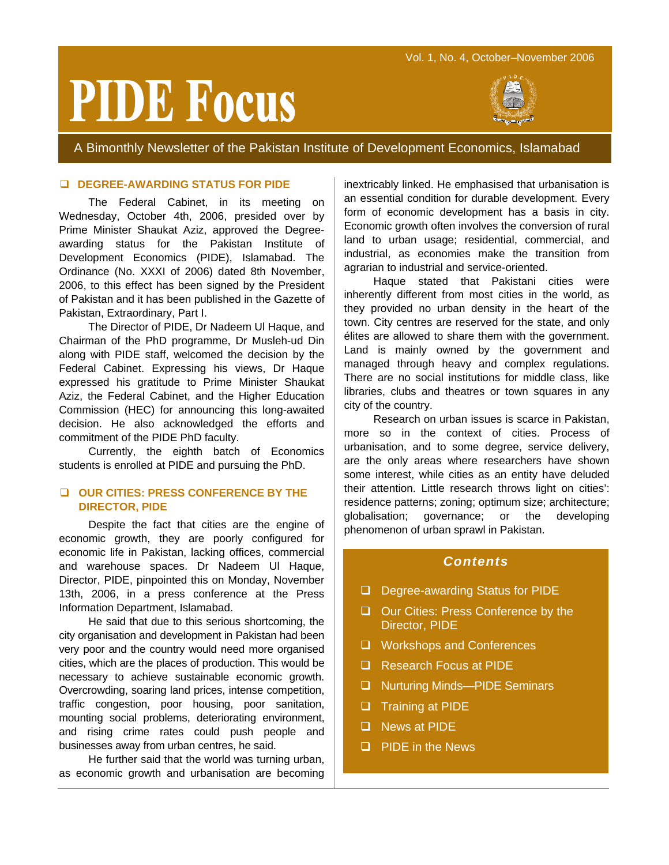# **PIDE Focus**



A Bimonthly Newsletter of the Pakistan Institute of Development Economics, Islamabad

#### **DEGREE-AWARDING STATUS FOR PIDE**

The Federal Cabinet, in its meeting on Wednesday, October 4th, 2006, presided over by Prime Minister Shaukat Aziz, approved the Degreeawarding status for the Pakistan Institute of Development Economics (PIDE), Islamabad. The Ordinance (No. XXXI of 2006) dated 8th November, 2006, to this effect has been signed by the President of Pakistan and it has been published in the Gazette of Pakistan, Extraordinary, Part I.

The Director of PIDE, Dr Nadeem Ul Haque, and Chairman of the PhD programme, Dr Musleh-ud Din along with PIDE staff, welcomed the decision by the Federal Cabinet. Expressing his views, Dr Haque expressed his gratitude to Prime Minister Shaukat Aziz, the Federal Cabinet, and the Higher Education Commission (HEC) for announcing this long-awaited decision. He also acknowledged the efforts and commitment of the PIDE PhD faculty.

Currently, the eighth batch of Economics students is enrolled at PIDE and pursuing the PhD.

# **OUR CITIES: PRESS CONFERENCE BY THE DIRECTOR, PIDE**

Despite the fact that cities are the engine of economic growth, they are poorly configured for economic life in Pakistan, lacking offices, commercial and warehouse spaces. Dr Nadeem Ul Haque, Director, PIDE, pinpointed this on Monday, November 13th, 2006, in a press conference at the Press Information Department, Islamabad.

He said that due to this serious shortcoming, the city organisation and development in Pakistan had been very poor and the country would need more organised cities, which are the places of production. This would be necessary to achieve sustainable economic growth. Overcrowding, soaring land prices, intense competition, traffic congestion, poor housing, poor sanitation, mounting social problems, deteriorating environment, and rising crime rates could push people and businesses away from urban centres, he said.

He further said that the world was turning urban, as economic growth and urbanisation are becoming

inextricably linked. He emphasised that urbanisation is an essential condition for durable development. Every form of economic development has a basis in city. Economic growth often involves the conversion of rural land to urban usage; residential, commercial, and industrial, as economies make the transition from agrarian to industrial and service-oriented.

Haque stated that Pakistani cities were inherently different from most cities in the world, as they provided no urban density in the heart of the town. City centres are reserved for the state, and only élites are allowed to share them with the government. Land is mainly owned by the government and managed through heavy and complex regulations. There are no social institutions for middle class, like libraries, clubs and theatres or town squares in any city of the country.

Research on urban issues is scarce in Pakistan, more so in the context of cities. Process of urbanisation, and to some degree, service delivery, are the only areas where researchers have shown some interest, while cities as an entity have deluded their attention. Little research throws light on cities': residence patterns; zoning; optimum size; architecture; globalisation; governance; or the developing phenomenon of urban sprawl in Pakistan.

#### *Contents*

- Degree-awarding Status for PIDE
- □ Our Cities: Press Conference by the Director, PIDE
- □ Workshops and Conferences
- Research Focus at PIDE
- □ Nurturing Minds—PIDE Seminars
- **Training at PIDE**
- **News at PIDE**
- $\Box$  PIDE in the News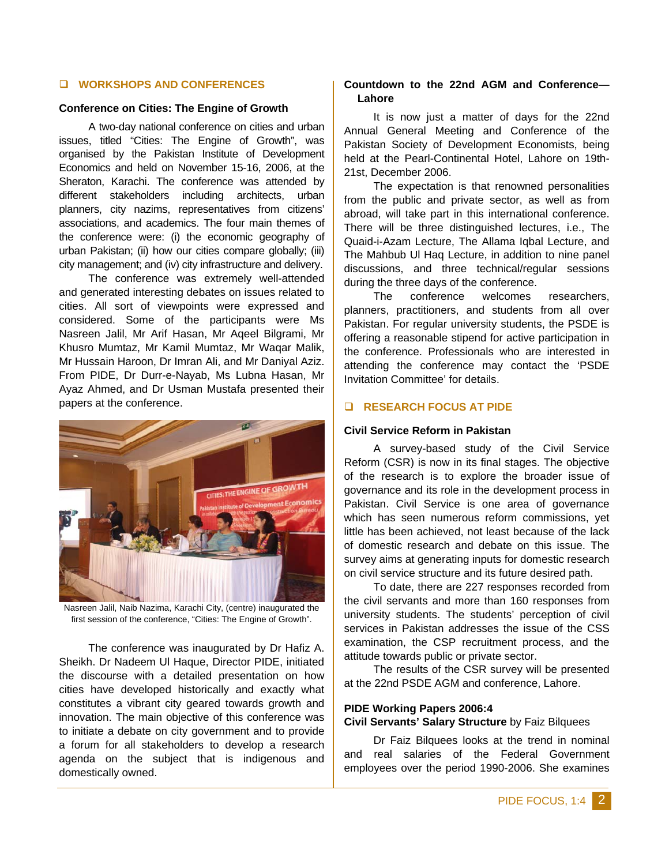# **WORKSHOPS AND CONFERENCES**

#### **Conference on Cities: The Engine of Growth**

A two-day national conference on cities and urban issues, titled "Cities: The Engine of Growth", was organised by the Pakistan Institute of Development Economics and held on November 15-16, 2006, at the Sheraton, Karachi. The conference was attended by different stakeholders including architects, urban planners, city nazims, representatives from citizens' associations, and academics. The four main themes of the conference were: (i) the economic geography of urban Pakistan; (ii) how our cities compare globally; (iii) city management; and (iv) city infrastructure and delivery.

The conference was extremely well-attended and generated interesting debates on issues related to cities. All sort of viewpoints were expressed and considered. Some of the participants were Ms Nasreen Jalil, Mr Arif Hasan, Mr Aqeel Bilgrami, Mr Khusro Mumtaz, Mr Kamil Mumtaz, Mr Waqar Malik, Mr Hussain Haroon, Dr Imran Ali, and Mr Daniyal Aziz. From PIDE, Dr Durr-e-Nayab, Ms Lubna Hasan, Mr Ayaz Ahmed, and Dr Usman Mustafa presented their papers at the conference.



Nasreen Jalil, Naib Nazima, Karachi City, (centre) inaugurated the first session of the conference, "Cities: The Engine of Growth".

The conference was inaugurated by Dr Hafiz A. Sheikh. Dr Nadeem Ul Haque, Director PIDE, initiated the discourse with a detailed presentation on how cities have developed historically and exactly what constitutes a vibrant city geared towards growth and innovation. The main objective of this conference was to initiate a debate on city government and to provide a forum for all stakeholders to develop a research agenda on the subject that is indigenous and domestically owned.

# **Countdown to the 22nd AGM and Conference— Lahore**

It is now just a matter of days for the 22nd Annual General Meeting and Conference of the Pakistan Society of Development Economists, being held at the Pearl-Continental Hotel, Lahore on 19th-21st, December 2006.

The expectation is that renowned personalities from the public and private sector, as well as from abroad, will take part in this international conference. There will be three distinguished lectures, i.e., The Quaid-i-Azam Lecture, The Allama Iqbal Lecture, and The Mahbub Ul Haq Lecture, in addition to nine panel discussions, and three technical/regular sessions during the three days of the conference.

The conference welcomes researchers, planners, practitioners, and students from all over Pakistan. For regular university students, the PSDE is offering a reasonable stipend for active participation in the conference. Professionals who are interested in attending the conference may contact the 'PSDE Invitation Committee' for details.

#### **RESEARCH FOCUS AT PIDE**

#### **Civil Service Reform in Pakistan**

A survey-based study of the Civil Service Reform (CSR) is now in its final stages. The objective of the research is to explore the broader issue of governance and its role in the development process in Pakistan. Civil Service is one area of governance which has seen numerous reform commissions, yet little has been achieved, not least because of the lack of domestic research and debate on this issue. The survey aims at generating inputs for domestic research on civil service structure and its future desired path.

To date, there are 227 responses recorded from the civil servants and more than 160 responses from university students. The students' perception of civil services in Pakistan addresses the issue of the CSS examination, the CSP recruitment process, and the attitude towards public or private sector.

The results of the CSR survey will be presented at the 22nd PSDE AGM and conference, Lahore.

# **PIDE Working Papers 2006:4 Civil Servants' Salary Structure** by Faiz Bilquees

Dr Faiz Bilquees looks at the trend in nominal and real salaries of the Federal Government employees over the period 1990-2006. She examines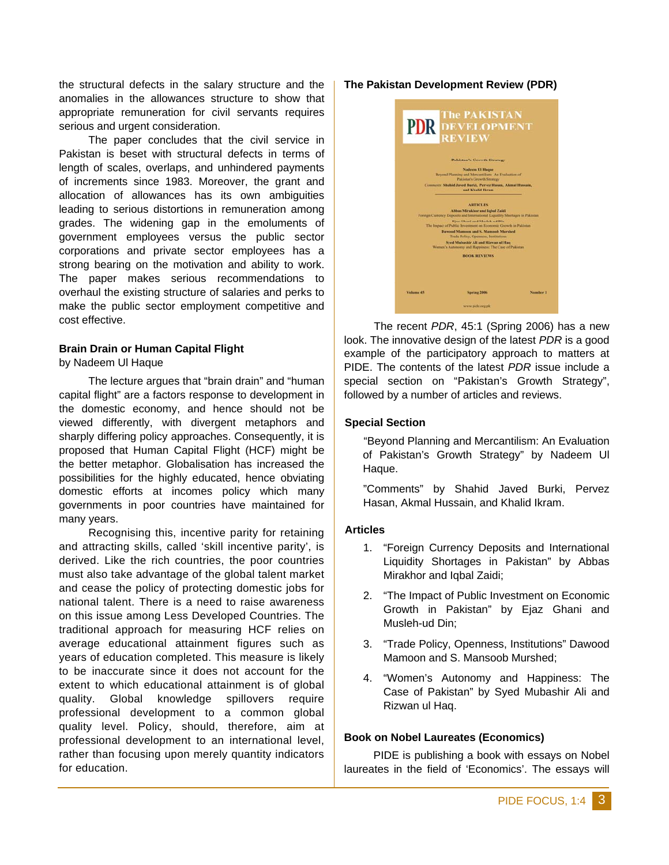the structural defects in the salary structure and the anomalies in the allowances structure to show that appropriate remuneration for civil servants requires serious and urgent consideration.

The paper concludes that the civil service in Pakistan is beset with structural defects in terms of length of scales, overlaps, and unhindered payments of increments since 1983. Moreover, the grant and allocation of allowances has its own ambiguities leading to serious distortions in remuneration among grades. The widening gap in the emoluments of government employees versus the public sector corporations and private sector employees has a strong bearing on the motivation and ability to work. The paper makes serious recommendations to overhaul the existing structure of salaries and perks to make the public sector employment competitive and cost effective.

# **Brain Drain or Human Capital Flight**

by Nadeem Ul Haque

The lecture argues that "brain drain" and "human capital flight" are a factors response to development in the domestic economy, and hence should not be viewed differently, with divergent metaphors and sharply differing policy approaches. Consequently, it is proposed that Human Capital Flight (HCF) might be the better metaphor. Globalisation has increased the possibilities for the highly educated, hence obviating domestic efforts at incomes policy which many governments in poor countries have maintained for many years.

Recognising this, incentive parity for retaining and attracting skills, called 'skill incentive parity', is derived. Like the rich countries, the poor countries must also take advantage of the global talent market and cease the policy of protecting domestic jobs for national talent. There is a need to raise awareness on this issue among Less Developed Countries. The traditional approach for measuring HCF relies on average educational attainment figures such as years of education completed. This measure is likely to be inaccurate since it does not account for the extent to which educational attainment is of global quality. Global knowledge spillovers require professional development to a common global quality level. Policy, should, therefore, aim at professional development to an international level, rather than focusing upon merely quantity indicators for education.

# **The Pakistan Development Review (PDR)**



The recent *PDR*, 45:1 (Spring 2006) has a new look. The innovative design of the latest *PDR* is a good example of the participatory approach to matters at PIDE. The contents of the latest *PDR* issue include a special section on "Pakistan's Growth Strategy", followed by a number of articles and reviews.

# **Special Section**

"Beyond Planning and Mercantilism: An Evaluation of Pakistan's Growth Strategy" by Nadeem Ul Haque.

"Comments" by Shahid Javed Burki, Pervez Hasan, Akmal Hussain, and Khalid Ikram.

#### **Articles**

- 1. "Foreign Currency Deposits and International Liquidity Shortages in Pakistan" by Abbas Mirakhor and Iqbal Zaidi;
- 2. "The Impact of Public Investment on Economic Growth in Pakistan" by Ejaz Ghani and Musleh-ud Din;
- 3. "Trade Policy, Openness, Institutions" Dawood Mamoon and S. Mansoob Murshed;
- 4. "Women's Autonomy and Happiness: The Case of Pakistan" by Syed Mubashir Ali and Rizwan ul Haq.

#### **Book on Nobel Laureates (Economics)**

PIDE is publishing a book with essays on Nobel laureates in the field of 'Economics'. The essays will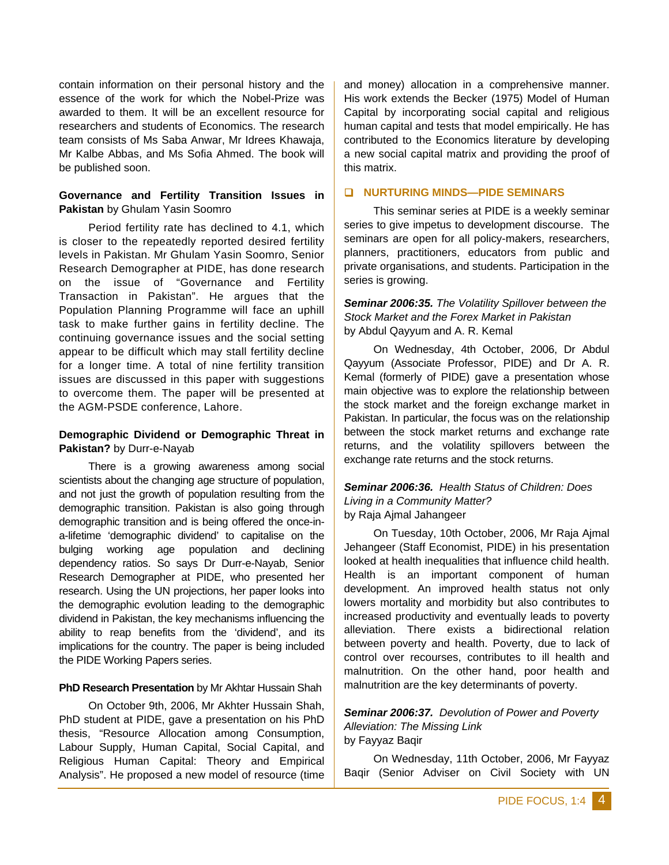contain information on their personal history and the essence of the work for which the Nobel-Prize was awarded to them. It will be an excellent resource for researchers and students of Economics. The research team consists of Ms Saba Anwar, Mr Idrees Khawaja, Mr Kalbe Abbas, and Ms Sofia Ahmed. The book will be published soon.

# **Governance and Fertility Transition Issues in Pakistan** by Ghulam Yasin Soomro

Period fertility rate has declined to 4.1, which is closer to the repeatedly reported desired fertility levels in Pakistan. Mr Ghulam Yasin Soomro, Senior Research Demographer at PIDE, has done research on the issue of "Governance and Fertility Transaction in Pakistan". He argues that the Population Planning Programme will face an uphill task to make further gains in fertility decline. The continuing governance issues and the social setting appear to be difficult which may stall fertility decline for a longer time. A total of nine fertility transition issues are discussed in this paper with suggestions to overcome them. The paper will be presented at the AGM-PSDE conference, Lahore.

# **Demographic Dividend or Demographic Threat in Pakistan?** by Durr-e-Nayab

There is a growing awareness among social scientists about the changing age structure of population, and not just the growth of population resulting from the demographic transition. Pakistan is also going through demographic transition and is being offered the once-ina-lifetime 'demographic dividend' to capitalise on the bulging working age population and declining dependency ratios. So says Dr Durr-e-Nayab, Senior Research Demographer at PIDE, who presented her research. Using the UN projections, her paper looks into the demographic evolution leading to the demographic dividend in Pakistan, the key mechanisms influencing the ability to reap benefits from the 'dividend', and its implications for the country. The paper is being included the PIDE Working Papers series.

# **PhD Research Presentation** by Mr Akhtar Hussain Shah

On October 9th, 2006, Mr Akhter Hussain Shah, PhD student at PIDE, gave a presentation on his PhD thesis, "Resource Allocation among Consumption, Labour Supply, Human Capital, Social Capital, and Religious Human Capital: Theory and Empirical Analysis". He proposed a new model of resource (time

and money) allocation in a comprehensive manner. His work extends the Becker (1975) Model of Human Capital by incorporating social capital and religious human capital and tests that model empirically. He has contributed to the Economics literature by developing a new social capital matrix and providing the proof of this matrix.

# **NURTURING MINDS—PIDE SEMINARS**

This seminar series at PIDE is a weekly seminar series to give impetus to development discourse. The seminars are open for all policy-makers, researchers, planners, practitioners, educators from public and private organisations, and students. Participation in the series is growing.

# *Seminar 2006:35. The Volatility Spillover between the Stock Market and the Forex Market in Pakistan* by Abdul Qayyum and A. R. Kemal

On Wednesday, 4th October, 2006, Dr Abdul Qayyum (Associate Professor, PIDE) and Dr A. R. Kemal (formerly of PIDE) gave a presentation whose main objective was to explore the relationship between the stock market and the foreign exchange market in Pakistan. In particular, the focus was on the relationship between the stock market returns and exchange rate returns, and the volatility spillovers between the exchange rate returns and the stock returns.

# *Seminar 2006:36. Health Status of Children: Does Living in a Community Matter?*  by Raja Ajmal Jahangeer

On Tuesday, 10th October, 2006, Mr Raja Ajmal Jehangeer (Staff Economist, PIDE) in his presentation looked at health inequalities that influence child health. Health is an important component of human development. An improved health status not only lowers mortality and morbidity but also contributes to increased productivity and eventually leads to poverty alleviation. There exists a bidirectional relation between poverty and health. Poverty, due to lack of control over recourses, contributes to ill health and malnutrition. On the other hand, poor health and malnutrition are the key determinants of poverty.

# *Seminar 2006:37. Devolution of Power and Poverty Alleviation: The Missing Link*  by Fayyaz Baqir

On Wednesday, 11th October, 2006, Mr Fayyaz Baqir (Senior Adviser on Civil Society with UN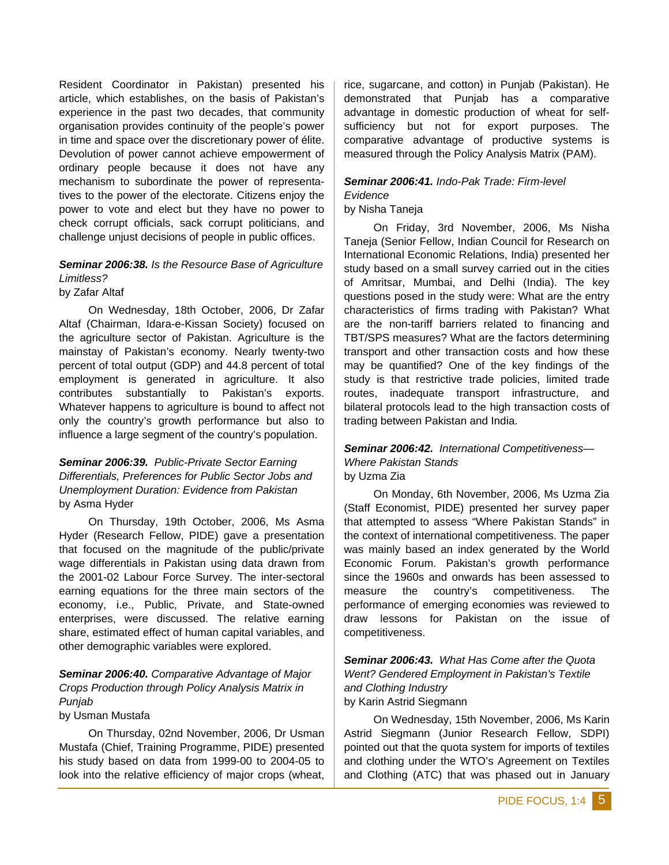Resident Coordinator in Pakistan) presented his article, which establishes, on the basis of Pakistan's experience in the past two decades, that community organisation provides continuity of the people's power in time and space over the discretionary power of élite. Devolution of power cannot achieve empowerment of ordinary people because it does not have any mechanism to subordinate the power of representatives to the power of the electorate. Citizens enjoy the power to vote and elect but they have no power to check corrupt officials, sack corrupt politicians, and challenge unjust decisions of people in public offices.

# *Seminar 2006:38. Is the Resource Base of Agriculture Limitless?*

by Zafar Altaf

On Wednesday, 18th October, 2006, Dr Zafar Altaf (Chairman, Idara-e-Kissan Society) focused on the agriculture sector of Pakistan. Agriculture is the mainstay of Pakistan's economy. Nearly twenty-two percent of total output (GDP) and 44.8 percent of total employment is generated in agriculture. It also contributes substantially to Pakistan's exports. Whatever happens to agriculture is bound to affect not only the country's growth performance but also to influence a large segment of the country's population.

# *Seminar 2006:39. Public-Private Sector Earning Differentials, Preferences for Public Sector Jobs and Unemployment Duration: Evidence from Pakistan*  by Asma Hyder

On Thursday, 19th October, 2006, Ms Asma Hyder (Research Fellow, PIDE) gave a presentation that focused on the magnitude of the public/private wage differentials in Pakistan using data drawn from the 2001-02 Labour Force Survey. The inter-sectoral earning equations for the three main sectors of the economy, i.e., Public, Private, and State-owned enterprises, were discussed. The relative earning share, estimated effect of human capital variables, and other demographic variables were explored.

# *Seminar 2006:40. Comparative Advantage of Major Crops Production through Policy Analysis Matrix in Punjab*

# by Usman Mustafa

On Thursday, 02nd November, 2006, Dr Usman Mustafa (Chief, Training Programme, PIDE) presented his study based on data from 1999-00 to 2004-05 to look into the relative efficiency of major crops (wheat,

rice, sugarcane, and cotton) in Punjab (Pakistan). He demonstrated that Punjab has a comparative advantage in domestic production of wheat for selfsufficiency but not for export purposes. The comparative advantage of productive systems is measured through the Policy Analysis Matrix (PAM).

#### *Seminar 2006:41. Indo-Pak Trade: Firm-level Evidence*

# by Nisha Taneja

On Friday, 3rd November, 2006, Ms Nisha Taneja (Senior Fellow, Indian Council for Research on International Economic Relations, India) presented her study based on a small survey carried out in the cities of Amritsar, Mumbai, and Delhi (India). The key questions posed in the study were: What are the entry characteristics of firms trading with Pakistan? What are the non-tariff barriers related to financing and TBT/SPS measures? What are the factors determining transport and other transaction costs and how these may be quantified? One of the key findings of the study is that restrictive trade policies, limited trade routes, inadequate transport infrastructure, and bilateral protocols lead to the high transaction costs of trading between Pakistan and India.

#### *Seminar 2006:42. International Competitiveness— Where Pakistan Stands*  by Uzma Zia

On Monday, 6th November, 2006, Ms Uzma Zia (Staff Economist, PIDE) presented her survey paper that attempted to assess "Where Pakistan Stands" in the context of international competitiveness. The paper was mainly based an index generated by the World Economic Forum. Pakistan's growth performance since the 1960s and onwards has been assessed to measure the country's competitiveness. The performance of emerging economies was reviewed to draw lessons for Pakistan on the issue of competitiveness.

*Seminar 2006:43. What Has Come after the Quota Went? Gendered Employment in Pakistan's Textile and Clothing Industry*  by Karin Astrid Siegmann

On Wednesday, 15th November, 2006, Ms Karin Astrid Siegmann (Junior Research Fellow, SDPI) pointed out that the quota system for imports of textiles and clothing under the WTO's Agreement on Textiles and Clothing (ATC) that was phased out in January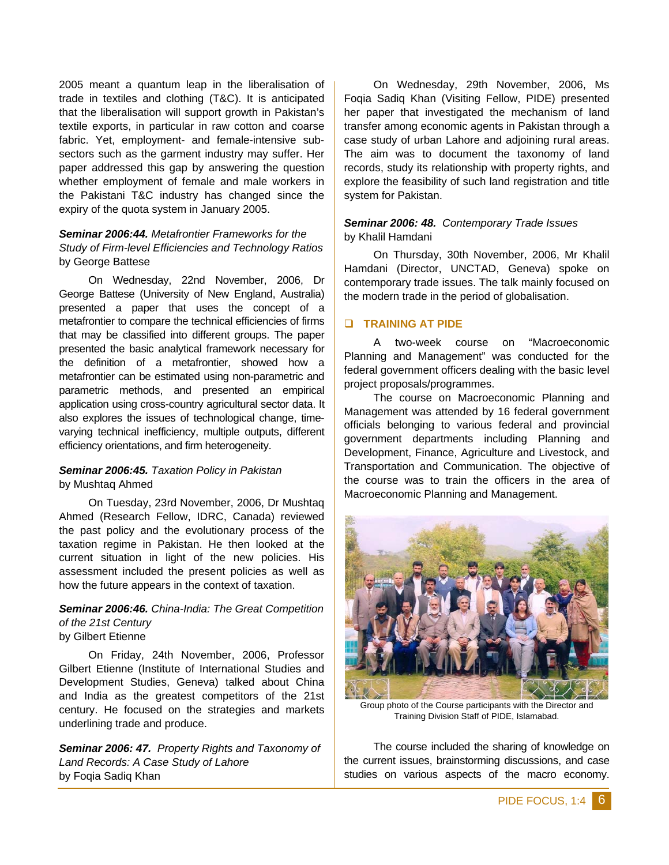2005 meant a quantum leap in the liberalisation of trade in textiles and clothing (T&C). It is anticipated that the liberalisation will support growth in Pakistan's textile exports, in particular in raw cotton and coarse fabric. Yet, employment- and female-intensive subsectors such as the garment industry may suffer. Her paper addressed this gap by answering the question whether employment of female and male workers in the Pakistani T&C industry has changed since the expiry of the quota system in January 2005.

# *Seminar 2006:44. Metafrontier Frameworks for the Study of Firm-level Efficiencies and Technology Ratios*  by George Battese

On Wednesday, 22nd November, 2006, Dr George Battese (University of New England, Australia) presented a paper that uses the concept of a metafrontier to compare the technical efficiencies of firms that may be classified into different groups. The paper presented the basic analytical framework necessary for the definition of a metafrontier, showed how a metafrontier can be estimated using non-parametric and parametric methods, and presented an empirical application using cross-country agricultural sector data. It also explores the issues of technological change, timevarying technical inefficiency, multiple outputs, different efficiency orientations, and firm heterogeneity.

# *Seminar 2006:45. Taxation Policy in Pakistan* by Mushtaq Ahmed

On Tuesday, 23rd November, 2006, Dr Mushtaq Ahmed (Research Fellow, IDRC, Canada) reviewed the past policy and the evolutionary process of the taxation regime in Pakistan. He then looked at the current situation in light of the new policies. His assessment included the present policies as well as how the future appears in the context of taxation.

#### *Seminar 2006:46. China-India: The Great Competition of the 21st Century* by Gilbert Etienne

On Friday, 24th November, 2006, Professor Gilbert Etienne (Institute of International Studies and Development Studies, Geneva) talked about China and India as the greatest competitors of the 21st century. He focused on the strategies and markets underlining trade and produce.

*Seminar 2006: 47. Property Rights and Taxonomy of Land Records: A Case Study of Lahore*  by Foqia Sadiq Khan

On Wednesday, 29th November, 2006, Ms Foqia Sadiq Khan (Visiting Fellow, PIDE) presented her paper that investigated the mechanism of land transfer among economic agents in Pakistan through a case study of urban Lahore and adjoining rural areas. The aim was to document the taxonomy of land records, study its relationship with property rights, and explore the feasibility of such land registration and title system for Pakistan.

# *Seminar 2006: 48. Contemporary Trade Issues* by Khalil Hamdani

On Thursday, 30th November, 2006, Mr Khalil Hamdani (Director, UNCTAD, Geneva) spoke on contemporary trade issues. The talk mainly focused on the modern trade in the period of globalisation.

# **TRAINING AT PIDE**

A two-week course on "Macroeconomic Planning and Management" was conducted for the federal government officers dealing with the basic level project proposals/programmes.

The course on Macroeconomic Planning and Management was attended by 16 federal government officials belonging to various federal and provincial government departments including Planning and Development, Finance, Agriculture and Livestock, and Transportation and Communication. The objective of the course was to train the officers in the area of Macroeconomic Planning and Management.



Group photo of the Course participants with the Director and Training Division Staff of PIDE, Islamabad.

The course included the sharing of knowledge on the current issues, brainstorming discussions, and case studies on various aspects of the macro economy.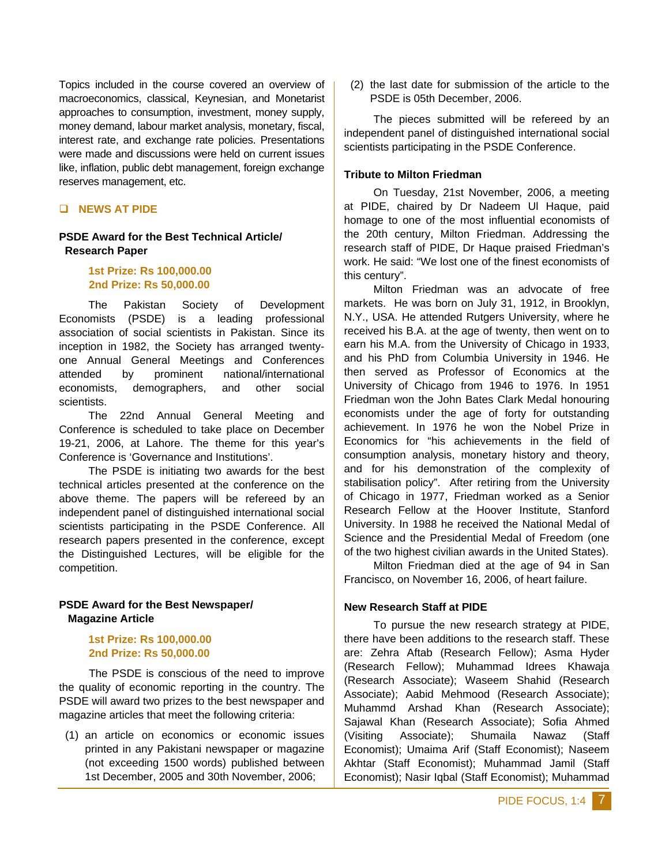Topics included in the course covered an overview of macroeconomics, classical, Keynesian, and Monetarist approaches to consumption, investment, money supply, money demand, labour market analysis, monetary, fiscal, interest rate, and exchange rate policies. Presentations were made and discussions were held on current issues like, inflation, public debt management, foreign exchange reserves management, etc.

# **NEWS AT PIDE**

# **PSDE Award for the Best Technical Article/ Research Paper**

# **1st Prize: Rs 100,000.00 2nd Prize: Rs 50,000.00**

The Pakistan Society of Development Economists (PSDE) is a leading professional association of social scientists in Pakistan. Since its inception in 1982, the Society has arranged twentyone Annual General Meetings and Conferences attended by prominent national/international economists, demographers, and other social scientists.

The 22nd Annual General Meeting and Conference is scheduled to take place on December 19-21, 2006, at Lahore. The theme for this year's Conference is 'Governance and Institutions'.

The PSDE is initiating two awards for the best technical articles presented at the conference on the above theme. The papers will be refereed by an independent panel of distinguished international social scientists participating in the PSDE Conference. All research papers presented in the conference, except the Distinguished Lectures, will be eligible for the competition.

# **PSDE Award for the Best Newspaper/ Magazine Article**

# **1st Prize: Rs 100,000.00 2nd Prize: Rs 50,000.00**

The PSDE is conscious of the need to improve the quality of economic reporting in the country. The PSDE will award two prizes to the best newspaper and magazine articles that meet the following criteria:

 (1) an article on economics or economic issues printed in any Pakistani newspaper or magazine (not exceeding 1500 words) published between 1st December, 2005 and 30th November, 2006;

 (2) the last date for submission of the article to the PSDE is 05th December, 2006.

The pieces submitted will be refereed by an independent panel of distinguished international social scientists participating in the PSDE Conference.

# **Tribute to Milton Friedman**

On Tuesday, 21st November, 2006, a meeting at PIDE, chaired by Dr Nadeem Ul Haque, paid homage to one of the most influential economists of the 20th century, Milton Friedman. Addressing the research staff of PIDE, Dr Haque praised Friedman's work. He said: "We lost one of the finest economists of this century".

Milton Friedman was an advocate of free markets. He was born on July 31, 1912, in Brooklyn, N.Y., USA. He attended Rutgers University, where he received his B.A. at the age of twenty, then went on to earn his M.A. from the University of Chicago in 1933, and his PhD from Columbia University in 1946. He then served as Professor of Economics at the University of Chicago from 1946 to 1976. In 1951 Friedman won the John Bates Clark Medal honouring economists under the age of forty for outstanding achievement. In 1976 he won the Nobel Prize in Economics for "his achievements in the field of consumption analysis, monetary history and theory, and for his demonstration of the complexity of stabilisation policy". After retiring from the University of Chicago in 1977, Friedman worked as a Senior Research Fellow at the Hoover Institute, Stanford University. In 1988 he received the National Medal of Science and the Presidential Medal of Freedom (one of the two highest civilian awards in the United States).

Milton Friedman died at the age of 94 in San Francisco, on November 16, 2006, of heart failure.

# **New Research Staff at PIDE**

To pursue the new research strategy at PIDE, there have been additions to the research staff. These are: Zehra Aftab (Research Fellow); Asma Hyder (Research Fellow); Muhammad Idrees Khawaja (Research Associate); Waseem Shahid (Research Associate); Aabid Mehmood (Research Associate); Muhammd Arshad Khan (Research Associate); Sajawal Khan (Research Associate); Sofia Ahmed (Visiting Associate); Shumaila Nawaz (Staff Economist); Umaima Arif (Staff Economist); Naseem Akhtar (Staff Economist); Muhammad Jamil (Staff Economist); Nasir Iqbal (Staff Economist); Muhammad